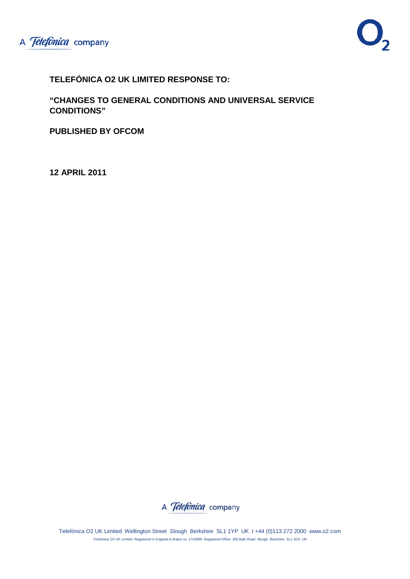

**TELEFÓNICA O2 UK LIMITED RESPONSE TO:**

**"CHANGES TO GENERAL CONDITIONS AND UNIVERSAL SERVICE CONDITIONS"**

**PUBLISHED BY OFCOM**

**12 APRIL 2011**



Telefónica O2 UK Limited Wellington Street Slough Berkshire SL1 1YP UK t +44 (0)113 272 2000 www.o2.com Telefónica O2 UK Limited Registered in England & Wales no. 1743099 Registered Office: 260 Bath Road Slough Berkshire SL1 4DX UK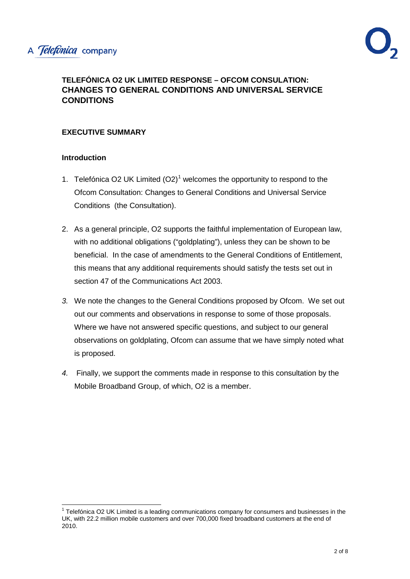## **TELEFÓNICA O2 UK LIMITED RESPONSE – OFCOM CONSULATION: CHANGES TO GENERAL CONDITIONS AND UNIVERSAL SERVICE CONDITIONS**

## **EXECUTIVE SUMMARY**

#### **Introduction**

- [1](#page-1-0). Telefónica O2 UK Limited  $(O2)<sup>1</sup>$  welcomes the opportunity to respond to the Ofcom Consultation: Changes to General Conditions and Universal Service Conditions (the Consultation).
- 2. As a general principle, O2 supports the faithful implementation of European law, with no additional obligations ("goldplating"), unless they can be shown to be beneficial. In the case of amendments to the General Conditions of Entitlement, this means that any additional requirements should satisfy the tests set out in section 47 of the Communications Act 2003.
- *3.* We note the changes to the General Conditions proposed by Ofcom. We set out out our comments and observations in response to some of those proposals. Where we have not answered specific questions, and subject to our general observations on goldplating, Ofcom can assume that we have simply noted what is proposed.
- *4.* Finally, we support the comments made in response to this consultation by the Mobile Broadband Group, of which, O2 is a member.

<span id="page-1-0"></span> $1$  Telefónica O2 UK Limited is a leading communications company for consumers and businesses in the UK, with 22.2 million mobile customers and over 700,000 fixed broadband customers at the end of 2010.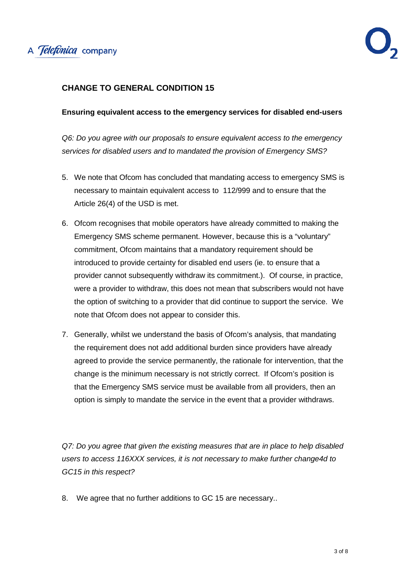

#### **CHANGE TO GENERAL CONDITION 15**

#### **Ensuring equivalent access to the emergency services for disabled end-users**

*Q6: Do you agree with our proposals to ensure equivalent access to the emergency services for disabled users and to mandated the provision of Emergency SMS?*

- 5. We note that Ofcom has concluded that mandating access to emergency SMS is necessary to maintain equivalent access to 112/999 and to ensure that the Article 26(4) of the USD is met.
- 6. Ofcom recognises that mobile operators have already committed to making the Emergency SMS scheme permanent. However, because this is a "voluntary" commitment, Ofcom maintains that a mandatory requirement should be introduced to provide certainty for disabled end users (ie. to ensure that a provider cannot subsequently withdraw its commitment.). Of course, in practice, were a provider to withdraw, this does not mean that subscribers would not have the option of switching to a provider that did continue to support the service. We note that Ofcom does not appear to consider this.
- 7. Generally, whilst we understand the basis of Ofcom's analysis, that mandating the requirement does not add additional burden since providers have already agreed to provide the service permanently, the rationale for intervention, that the change is the minimum necessary is not strictly correct. If Ofcom's position is that the Emergency SMS service must be available from all providers, then an option is simply to mandate the service in the event that a provider withdraws.

*Q7: Do you agree that given the existing measures that are in place to help disabled users to access 116XXX services, it is not necessary to make further change4d to GC15 in this respect?*

8. We agree that no further additions to GC 15 are necessary..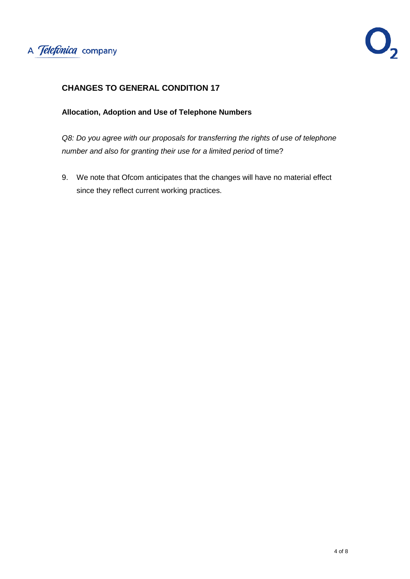

## **CHANGES TO GENERAL CONDITION 17**

#### **Allocation, Adoption and Use of Telephone Numbers**

*Q8: Do you agree with our proposals for transferring the rights of use of telephone number and also for granting their use for a limited period* of time?

9. We note that Ofcom anticipates that the changes will have no material effect since they reflect current working practices.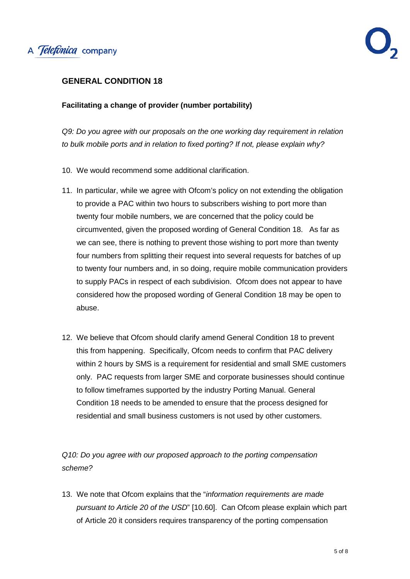

## **GENERAL CONDITION 18**

#### **Facilitating a change of provider (number portability)**

*Q9: Do you agree with our proposals on the one working day requirement in relation to bulk mobile ports and in relation to fixed porting? If not, please explain why?*

- 10. We would recommend some additional clarification.
- 11. In particular, while we agree with Ofcom's policy on not extending the obligation to provide a PAC within two hours to subscribers wishing to port more than twenty four mobile numbers, we are concerned that the policy could be circumvented, given the proposed wording of General Condition 18. As far as we can see, there is nothing to prevent those wishing to port more than twenty four numbers from splitting their request into several requests for batches of up to twenty four numbers and, in so doing, require mobile communication providers to supply PACs in respect of each subdivision. Ofcom does not appear to have considered how the proposed wording of General Condition 18 may be open to abuse.
- 12. We believe that Ofcom should clarify amend General Condition 18 to prevent this from happening. Specifically, Ofcom needs to confirm that PAC delivery within 2 hours by SMS is a requirement for residential and small SME customers only. PAC requests from larger SME and corporate businesses should continue to follow timeframes supported by the industry Porting Manual. General Condition 18 needs to be amended to ensure that the process designed for residential and small business customers is not used by other customers.

*Q10: Do you agree with our proposed approach to the porting compensation scheme?*

13. We note that Ofcom explains that the "*information requirements are made pursuant to Article 20 of the USD*" [10.60]. Can Ofcom please explain which part of Article 20 it considers requires transparency of the porting compensation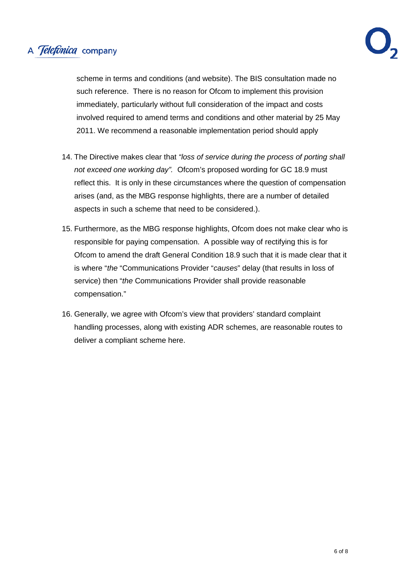# A Telefonica company

scheme in terms and conditions (and website). The BIS consultation made no such reference. There is no reason for Ofcom to implement this provision immediately, particularly without full consideration of the impact and costs involved required to amend terms and conditions and other material by 25 May 2011. We recommend a reasonable implementation period should apply

- 14. The Directive makes clear that *"loss of service during the process of porting shall not exceed one working day".* Ofcom's proposed wording for GC 18.9 must reflect this. It is only in these circumstances where the question of compensation arises (and, as the MBG response highlights, there are a number of detailed aspects in such a scheme that need to be considered.).
- 15. Furthermore, as the MBG response highlights, Ofcom does not make clear who is responsible for paying compensation. A possible way of rectifying this is for Ofcom to amend the draft General Condition 18.9 such that it is made clear that it is where "*the* "Communications Provider "*causes*" delay (that results in loss of service) then "*the* Communications Provider shall provide reasonable compensation."
- 16. Generally, we agree with Ofcom's view that providers' standard complaint handling processes, along with existing ADR schemes, are reasonable routes to deliver a compliant scheme here.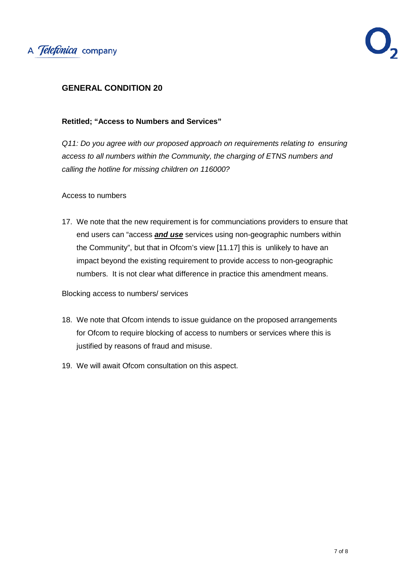

## **GENERAL CONDITION 20**

#### **Retitled; "Access to Numbers and Services"**

*Q11: Do you agree with our proposed approach on requirements relating to ensuring access to all numbers within the Community, the charging of ETNS numbers and calling the hotline for missing children on 116000?*

Access to numbers

17. We note that the new requirement is for communciations providers to ensure that end users can "access *and use* services using non-geographic numbers within the Community", but that in Ofcom's view [11.17] this is unlikely to have an impact beyond the existing requirement to provide access to non-geographic numbers. It is not clear what difference in practice this amendment means.

Blocking access to numbers/ services

- 18. We note that Ofcom intends to issue guidance on the proposed arrangements for Ofcom to require blocking of access to numbers or services where this is justified by reasons of fraud and misuse.
- 19. We will await Ofcom consultation on this aspect.